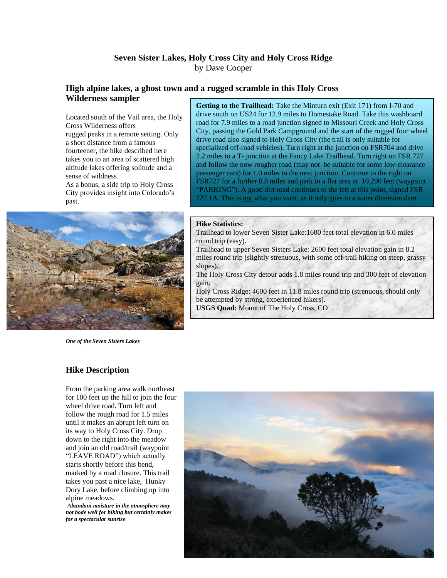# **Seven Sister Lakes, Holy Cross City and Holy Cross Ridge** by Dave Cooper

### **High alpine lakes, a ghost town and a rugged scramble in this Holy Cross Wilderness sampler**

Located south of the Vail area, the Holy Cross Wilderness offers rugged peaks in a remote setting. Only a short distance from a famous fourteener, the hike described here takes you to an area of scattered high altitude lakes offering solitude and a sense of wildness.

As a bonus, a side trip to Holy Cross City provides insight into Colorado's past.



*One of the Seven Sisters Lakes*

### **Hike Description**

From the parking area walk northeast for 100 feet up the hill to join the four wheel drive road. Turn left and follow the rough road for 1.5 miles until it makes an abrupt left turn on its way to Holy Cross City. Drop down to the right into the meadow and join an old road/trail (waypoint "LEAVE ROAD") which actually starts shortly before this bend, marked by a road closure. This trail takes you past a nice lake, Hunky Dory Lake, before climbing up into alpine meadows.

*Abundant moisture in the atmosphere may not bode well for hiking but certainly makes for a spectacular sunrise*

**Getting to the Trailhead:** Take the Minturn exit (Exit 171) from I-70 and drive south on US24 for 12.9 miles to Homestake Road. Take this washboard road for 7.9 miles to a road junction signed to Missouri Creek and Holy Cross City, passing the Gold Park Campground and the start of the rugged four wheel drive road also signed to Holy Cross City (the trail is only suitable for specialized off-road vehicles). Turn right at the junction on FSR704 and drive 2.2 miles to a T- junction at the Fancy Lake Trailhead. Turn right on FSR 727 and follow the now rougher road (may not be suitable for some low-clearance passenger cars) for 1.0 miles to the next junction. Continue to the right on FSR727 for a further 0.8 miles and park in a flat area at 10,290 feet (waypoint "PARKING"). A good dirt road continues to the left at this point, signed FSR 727.1A. This is not what you want, as it only goes to a water diversion dam.

#### **Hike Statistics:**

Trailhead to lower Seven Sister Lake:1600 feet total elevation in 6.0 miles round trip (easy).

Trailhead to upper Seven Sisters Lake: 2600 feet total elevation gain in 8.2 miles round trip (slightly strenuous, with some off-trail hiking on steep, grassy slopes).

The Holy Cross City detour adds 1.8 miles round trip and 300 feet of elevation gain.

Holy Cross Ridge: 4600 feet in 11.8 miles round trip (strenuous, should only be attempted by strong, experienced hikers). **USGS Quad:** Mount of The Holy Cross, CO

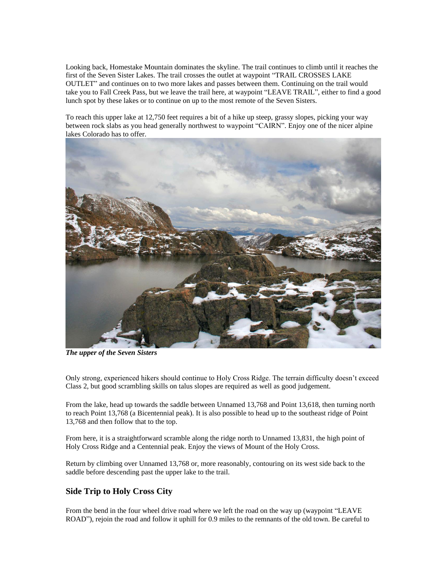Looking back, Homestake Mountain dominates the skyline. The trail continues to climb until it reaches the first of the Seven Sister Lakes. The trail crosses the outlet at waypoint "TRAIL CROSSES LAKE OUTLET" and continues on to two more lakes and passes between them. Continuing on the trail would take you to Fall Creek Pass, but we leave the trail here, at waypoint "LEAVE TRAIL", either to find a good lunch spot by these lakes or to continue on up to the most remote of the Seven Sisters.

To reach this upper lake at 12,750 feet requires a bit of a hike up steep, grassy slopes, picking your way between rock slabs as you head generally northwest to waypoint "CAIRN". Enjoy one of the nicer alpine lakes Colorado has to offer.



*The upper of the Seven Sisters*

Only strong, experienced hikers should continue to Holy Cross Ridge. The terrain difficulty doesn't exceed Class 2, but good scrambling skills on talus slopes are required as well as good judgement.

From the lake, head up towards the saddle between Unnamed 13,768 and Point 13,618, then turning north to reach Point 13,768 (a Bicentennial peak). It is also possible to head up to the southeast ridge of Point 13,768 and then follow that to the top.

From here, it is a straightforward scramble along the ridge north to Unnamed 13,831, the high point of Holy Cross Ridge and a Centennial peak. Enjoy the views of Mount of the Holy Cross.

Return by climbing over Unnamed 13,768 or, more reasonably, contouring on its west side back to the saddle before descending past the upper lake to the trail.

## **Side Trip to Holy Cross City**

From the bend in the four wheel drive road where we left the road on the way up (waypoint "LEAVE ROAD"), rejoin the road and follow it uphill for 0.9 miles to the remnants of the old town. Be careful to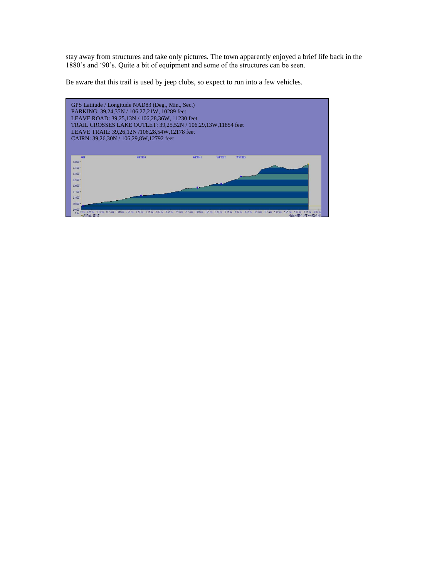stay away from structures and take only pictures. The town apparently enjoyed a brief life back in the 1880's and '90's. Quite a bit of equipment and some of the structures can be seen.

Be aware that this trail is used by jeep clubs, so expect to run into a few vehicles.